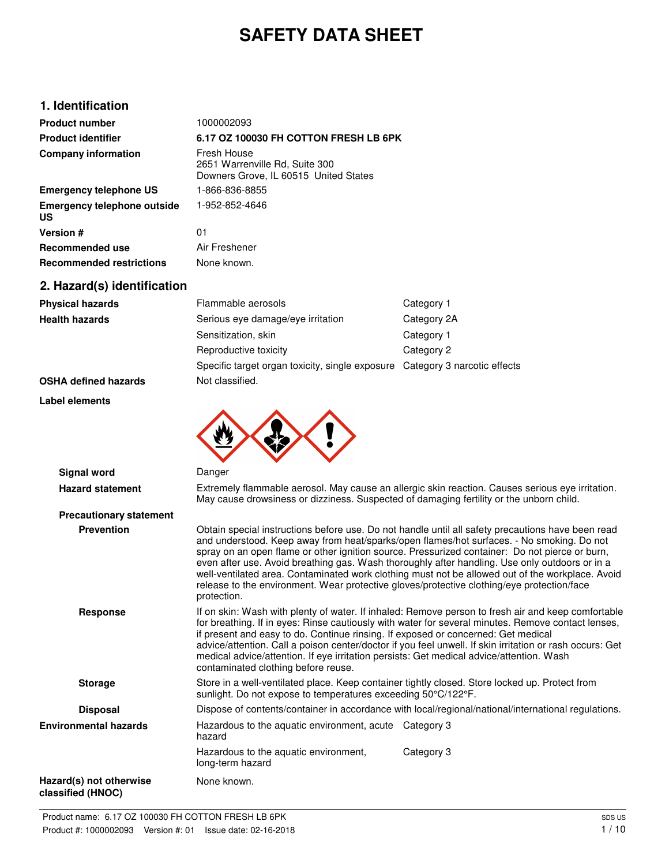# **SAFETY DATA SHEET**

## **1. Identification**

| <b>Product number</b>                    | 1000002093                                                                             |
|------------------------------------------|----------------------------------------------------------------------------------------|
| <b>Product identifier</b>                | 6.17 OZ 100030 FH COTTON FRESH LB 6PK                                                  |
| <b>Company information</b>               | Fresh House<br>2651 Warrenville Rd, Suite 300<br>Downers Grove, IL 60515 United States |
| <b>Emergency telephone US</b>            | 1-866-836-8855                                                                         |
| <b>Emergency telephone outside</b><br>US | 1-952-852-4646                                                                         |
| Version #                                | 01                                                                                     |
| Recommended use                          | Air Freshener                                                                          |
| <b>Recommended restrictions</b>          | None known.                                                                            |

# **2. Hazard(s) identification**

| <b>Physical hazards</b> | Flammable aerosols                                                          | Category 1  |
|-------------------------|-----------------------------------------------------------------------------|-------------|
| <b>Health hazards</b>   | Serious eye damage/eye irritation                                           | Category 2A |
|                         | Sensitization, skin                                                         | Category 1  |
|                         | Reproductive toxicity                                                       | Category 2  |
|                         | Specific target organ toxicity, single exposure Category 3 narcotic effects |             |

**OSHA defined hazards** Not classified.

**Label elements**



| Signal word                                  | Danger                                                                                                                                                                                                                                                                                                                                                                                                                                                                                                                                                                                                              |
|----------------------------------------------|---------------------------------------------------------------------------------------------------------------------------------------------------------------------------------------------------------------------------------------------------------------------------------------------------------------------------------------------------------------------------------------------------------------------------------------------------------------------------------------------------------------------------------------------------------------------------------------------------------------------|
| <b>Hazard statement</b>                      | Extremely flammable aerosol. May cause an allergic skin reaction. Causes serious eye irritation.<br>May cause drowsiness or dizziness. Suspected of damaging fertility or the unborn child.                                                                                                                                                                                                                                                                                                                                                                                                                         |
| <b>Precautionary statement</b>               |                                                                                                                                                                                                                                                                                                                                                                                                                                                                                                                                                                                                                     |
| <b>Prevention</b>                            | Obtain special instructions before use. Do not handle until all safety precautions have been read<br>and understood. Keep away from heat/sparks/open flames/hot surfaces. - No smoking. Do not<br>spray on an open flame or other ignition source. Pressurized container: Do not pierce or burn,<br>even after use. Avoid breathing gas. Wash thoroughly after handling. Use only outdoors or in a<br>well-ventilated area. Contaminated work clothing must not be allowed out of the workplace. Avoid<br>release to the environment. Wear protective gloves/protective clothing/eye protection/face<br>protection. |
| <b>Response</b>                              | If on skin: Wash with plenty of water. If inhaled: Remove person to fresh air and keep comfortable<br>for breathing. If in eyes: Rinse cautiously with water for several minutes. Remove contact lenses,<br>if present and easy to do. Continue rinsing. If exposed or concerned: Get medical<br>advice/attention. Call a poison center/doctor if you feel unwell. If skin irritation or rash occurs: Get<br>medical advice/attention. If eye irritation persists: Get medical advice/attention. Wash<br>contaminated clothing before reuse.                                                                        |
| <b>Storage</b>                               | Store in a well-ventilated place. Keep container tightly closed. Store locked up. Protect from<br>sunlight. Do not expose to temperatures exceeding 50°C/122°F.                                                                                                                                                                                                                                                                                                                                                                                                                                                     |
| <b>Disposal</b>                              | Dispose of contents/container in accordance with local/regional/national/international regulations.                                                                                                                                                                                                                                                                                                                                                                                                                                                                                                                 |
| <b>Environmental hazards</b>                 | Hazardous to the aquatic environment, acute Category 3<br>hazard                                                                                                                                                                                                                                                                                                                                                                                                                                                                                                                                                    |
|                                              | Hazardous to the aquatic environment,<br>Category 3<br>long-term hazard                                                                                                                                                                                                                                                                                                                                                                                                                                                                                                                                             |
| Hazard(s) not otherwise<br>classified (HNOC) | None known.                                                                                                                                                                                                                                                                                                                                                                                                                                                                                                                                                                                                         |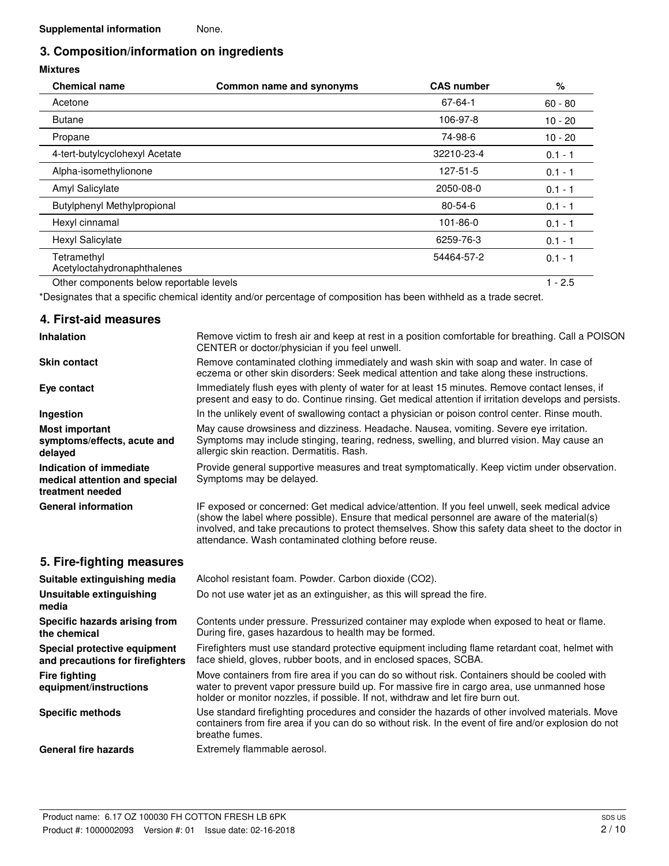# **3. Composition/information on ingredients**

## **Mixtures**

| <b>Chemical name</b>                       | Common name and synonyms | <b>CAS number</b> | %         |
|--------------------------------------------|--------------------------|-------------------|-----------|
| Acetone                                    |                          | $67 - 64 - 1$     | $60 - 80$ |
| <b>Butane</b>                              |                          | 106-97-8          | $10 - 20$ |
| Propane                                    |                          | 74-98-6           | $10 - 20$ |
| 4-tert-butylcyclohexyl Acetate             |                          | 32210-23-4        | $0.1 - 1$ |
| Alpha-isomethylionone                      |                          | 127-51-5          | $0.1 - 1$ |
| Amyl Salicylate                            |                          | 2050-08-0         | $0.1 - 1$ |
| <b>Butylphenyl Methylpropional</b>         |                          | $80 - 54 - 6$     | $0.1 - 1$ |
| Hexyl cinnamal                             |                          | 101-86-0          | $0.1 - 1$ |
| <b>Hexyl Salicylate</b>                    |                          | 6259-76-3         | $0.1 - 1$ |
| Tetramethyl<br>Acetyloctahydronaphthalenes |                          | 54464-57-2        | $0.1 - 1$ |
| Other components below reportable levels   |                          |                   | $1 - 2.5$ |

\*Designates that a specific chemical identity and/or percentage of composition has been withheld as a trade secret.

## **4. First-aid measures**

| <b>Inhalation</b>                                                                   | Remove victim to fresh air and keep at rest in a position comfortable for breathing. Call a POISON<br>CENTER or doctor/physician if you feel unwell.                                                                                                                                                                                                        |
|-------------------------------------------------------------------------------------|-------------------------------------------------------------------------------------------------------------------------------------------------------------------------------------------------------------------------------------------------------------------------------------------------------------------------------------------------------------|
| <b>Skin contact</b>                                                                 | Remove contaminated clothing immediately and wash skin with soap and water. In case of<br>eczema or other skin disorders: Seek medical attention and take along these instructions.                                                                                                                                                                         |
| Eye contact                                                                         | Immediately flush eyes with plenty of water for at least 15 minutes. Remove contact lenses, if<br>present and easy to do. Continue rinsing. Get medical attention if irritation develops and persists.                                                                                                                                                      |
| Ingestion                                                                           | In the unlikely event of swallowing contact a physician or poison control center. Rinse mouth.                                                                                                                                                                                                                                                              |
| <b>Most important</b><br>symptoms/effects, acute and<br>delayed                     | May cause drowsiness and dizziness. Headache. Nausea, vomiting. Severe eye irritation.<br>Symptoms may include stinging, tearing, redness, swelling, and blurred vision. May cause an<br>allergic skin reaction. Dermatitis. Rash.                                                                                                                          |
| <b>Indication of immediate</b><br>medical attention and special<br>treatment needed | Provide general supportive measures and treat symptomatically. Keep victim under observation.<br>Symptoms may be delayed.                                                                                                                                                                                                                                   |
| <b>General information</b>                                                          | IF exposed or concerned: Get medical advice/attention. If you feel unwell, seek medical advice<br>(show the label where possible). Ensure that medical personnel are aware of the material(s)<br>involved, and take precautions to protect themselves. Show this safety data sheet to the doctor in<br>attendance. Wash contaminated clothing before reuse. |
| 5. Fire-fighting measures                                                           |                                                                                                                                                                                                                                                                                                                                                             |
| Suitable extinguishing media                                                        | Alcohol resistant foam. Powder. Carbon dioxide (CO2).                                                                                                                                                                                                                                                                                                       |
| Unsuitable extinguishing<br>media                                                   | Do not use water jet as an extinguisher, as this will spread the fire.                                                                                                                                                                                                                                                                                      |
| Specific hazards arising from<br>the chemical                                       | Contents under pressure. Pressurized container may explode when exposed to heat or flame.<br>During fire, gases hazardous to health may be formed.                                                                                                                                                                                                          |
| Special protective equipment<br>and precautions for firefighters                    | Firefighters must use standard protective equipment including flame retardant coat, helmet with<br>face shield, gloves, rubber boots, and in enclosed spaces, SCBA.                                                                                                                                                                                         |
| <b>Fire fighting</b><br>equipment/instructions                                      | Move containers from fire area if you can do so without risk. Containers should be cooled with<br>water to prevent vapor pressure build up. For massive fire in cargo area, use unmanned hose<br>holder or monitor nozzles, if possible. If not, withdraw and let fire burn out.                                                                            |
| <b>Specific methods</b>                                                             | Use standard firefighting procedures and consider the hazards of other involved materials. Move<br>containers from fire area if you can do so without risk. In the event of fire and/or explosion do not<br>breathe fumes.                                                                                                                                  |
| <b>General fire hazards</b>                                                         | Extremely flammable aerosol.                                                                                                                                                                                                                                                                                                                                |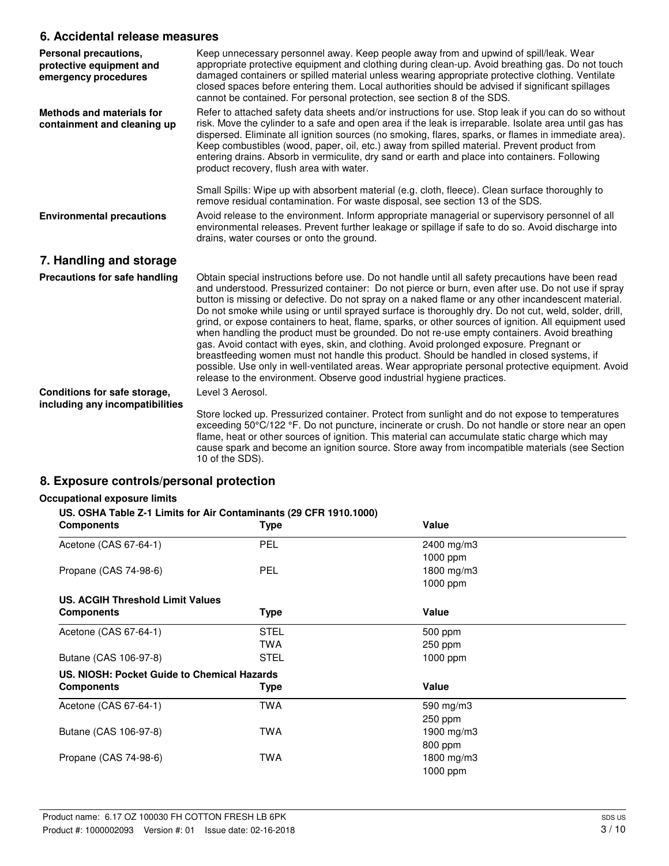## **6. Accidental release measures**

| Personal precautions,<br>protective equipment and<br>emergency procedures | Keep unnecessary personnel away. Keep people away from and upwind of spill/leak. Wear<br>appropriate protective equipment and clothing during clean-up. Avoid breathing gas. Do not touch<br>damaged containers or spilled material unless wearing appropriate protective clothing. Ventilate<br>closed spaces before entering them. Local authorities should be advised if significant spillages<br>cannot be contained. For personal protection, see section 8 of the SDS.                                                                                                                                                                                                                                                                                                                                                                                                                                                                                                                        |
|---------------------------------------------------------------------------|-----------------------------------------------------------------------------------------------------------------------------------------------------------------------------------------------------------------------------------------------------------------------------------------------------------------------------------------------------------------------------------------------------------------------------------------------------------------------------------------------------------------------------------------------------------------------------------------------------------------------------------------------------------------------------------------------------------------------------------------------------------------------------------------------------------------------------------------------------------------------------------------------------------------------------------------------------------------------------------------------------|
| <b>Methods and materials for</b><br>containment and cleaning up           | Refer to attached safety data sheets and/or instructions for use. Stop leak if you can do so without<br>risk. Move the cylinder to a safe and open area if the leak is irreparable. Isolate area until gas has<br>dispersed. Eliminate all ignition sources (no smoking, flares, sparks, or flames in immediate area).<br>Keep combustibles (wood, paper, oil, etc.) away from spilled material. Prevent product from<br>entering drains. Absorb in vermiculite, dry sand or earth and place into containers. Following<br>product recovery, flush area with water.                                                                                                                                                                                                                                                                                                                                                                                                                                 |
|                                                                           | Small Spills: Wipe up with absorbent material (e.g. cloth, fleece). Clean surface thoroughly to<br>remove residual contamination. For waste disposal, see section 13 of the SDS.                                                                                                                                                                                                                                                                                                                                                                                                                                                                                                                                                                                                                                                                                                                                                                                                                    |
| <b>Environmental precautions</b>                                          | Avoid release to the environment. Inform appropriate managerial or supervisory personnel of all<br>environmental releases. Prevent further leakage or spillage if safe to do so. Avoid discharge into<br>drains, water courses or onto the ground.                                                                                                                                                                                                                                                                                                                                                                                                                                                                                                                                                                                                                                                                                                                                                  |
| 7. Handling and storage                                                   |                                                                                                                                                                                                                                                                                                                                                                                                                                                                                                                                                                                                                                                                                                                                                                                                                                                                                                                                                                                                     |
| Precautions for safe handling                                             | Obtain special instructions before use. Do not handle until all safety precautions have been read<br>and understood. Pressurized container: Do not pierce or burn, even after use. Do not use if spray<br>button is missing or defective. Do not spray on a naked flame or any other incandescent material.<br>Do not smoke while using or until sprayed surface is thoroughly dry. Do not cut, weld, solder, drill,<br>grind, or expose containers to heat, flame, sparks, or other sources of ignition. All equipment used<br>when handling the product must be grounded. Do not re-use empty containers. Avoid breathing<br>gas. Avoid contact with eyes, skin, and clothing. Avoid prolonged exposure. Pregnant or<br>breastfeeding women must not handle this product. Should be handled in closed systems, if<br>possible. Use only in well-ventilated areas. Wear appropriate personal protective equipment. Avoid<br>release to the environment. Observe good industrial hygiene practices. |
| Conditions for safe storage,<br>including any incompatibilities           | Level 3 Aerosol.                                                                                                                                                                                                                                                                                                                                                                                                                                                                                                                                                                                                                                                                                                                                                                                                                                                                                                                                                                                    |
|                                                                           | Store locked up. Pressurized container. Protect from sunlight and do not expose to temperatures<br>exceeding 50°C/122 °F. Do not puncture, incinerate or crush. Do not handle or store near an open<br>flame, heat or other sources of ignition. This material can accumulate static charge which may<br>cause spark and become an ignition source. Store away from incompatible materials (see Section<br>10 of the SDS).                                                                                                                                                                                                                                                                                                                                                                                                                                                                                                                                                                          |

## **8. Exposure controls/personal protection**

#### **Occupational exposure limits**

#### **US. OSHA Table Z-1 Limits for Air Contaminants (29 CFR 1910.1000)**

| <b>Components</b>                           | <b>Type</b> | Value      |  |
|---------------------------------------------|-------------|------------|--|
| Acetone (CAS 67-64-1)                       | PEL         | 2400 mg/m3 |  |
|                                             |             | 1000 ppm   |  |
| Propane (CAS 74-98-6)                       | <b>PEL</b>  | 1800 mg/m3 |  |
|                                             |             | 1000 ppm   |  |
| <b>US. ACGIH Threshold Limit Values</b>     |             |            |  |
| <b>Components</b>                           | <b>Type</b> | Value      |  |
| Acetone (CAS 67-64-1)                       | <b>STEL</b> | 500 ppm    |  |
|                                             | <b>TWA</b>  | $250$ ppm  |  |
| Butane (CAS 106-97-8)                       | <b>STEL</b> | $1000$ ppm |  |
| US. NIOSH: Pocket Guide to Chemical Hazards |             |            |  |
| <b>Components</b>                           | <b>Type</b> | Value      |  |
| Acetone (CAS 67-64-1)                       | <b>TWA</b>  | 590 mg/m3  |  |
|                                             |             | $250$ ppm  |  |
| Butane (CAS 106-97-8)                       | <b>TWA</b>  | 1900 mg/m3 |  |
|                                             |             | 800 ppm    |  |
| Propane (CAS 74-98-6)                       | <b>TWA</b>  | 1800 mg/m3 |  |
|                                             |             | 1000 ppm   |  |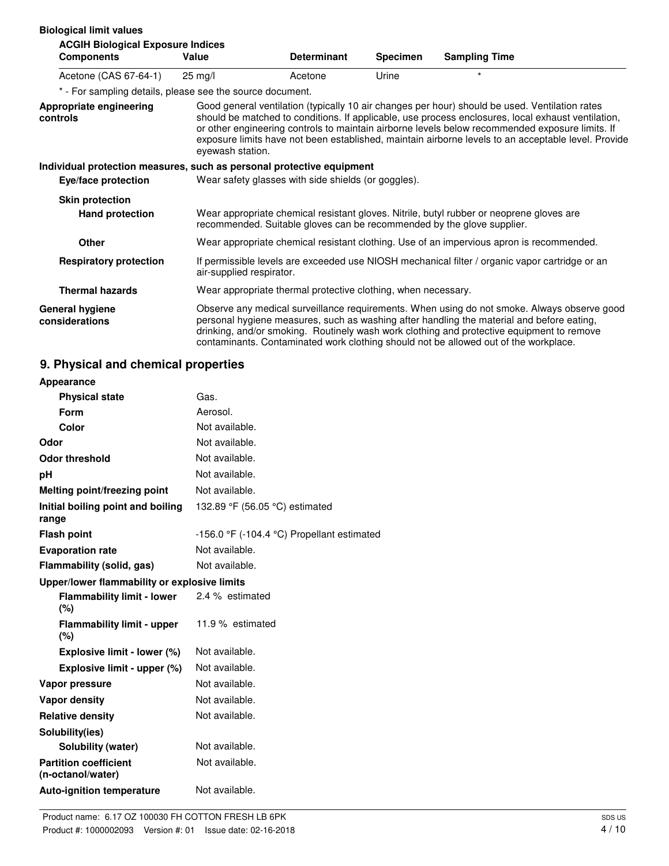| <b>Biological limit values</b><br><b>ACGIH Biological Exposure Indices</b> |                          |                                                                        |                 |                                                                                                                                                                                                                                                                                                                                                                                                                |
|----------------------------------------------------------------------------|--------------------------|------------------------------------------------------------------------|-----------------|----------------------------------------------------------------------------------------------------------------------------------------------------------------------------------------------------------------------------------------------------------------------------------------------------------------------------------------------------------------------------------------------------------------|
| <b>Components</b>                                                          | Value                    | <b>Determinant</b>                                                     | <b>Specimen</b> | <b>Sampling Time</b>                                                                                                                                                                                                                                                                                                                                                                                           |
| Acetone (CAS 67-64-1)                                                      | $25 \text{ ma/l}$        | Acetone                                                                | Urine           | $\star$                                                                                                                                                                                                                                                                                                                                                                                                        |
| * - For sampling details, please see the source document.                  |                          |                                                                        |                 |                                                                                                                                                                                                                                                                                                                                                                                                                |
| Appropriate engineering<br>controls                                        | eyewash station.         |                                                                        |                 | Good general ventilation (typically 10 air changes per hour) should be used. Ventilation rates<br>should be matched to conditions. If applicable, use process enclosures, local exhaust ventilation,<br>or other engineering controls to maintain airborne levels below recommended exposure limits. If<br>exposure limits have not been established, maintain airborne levels to an acceptable level. Provide |
| Individual protection measures, such as personal protective equipment      |                          |                                                                        |                 |                                                                                                                                                                                                                                                                                                                                                                                                                |
| Eye/face protection                                                        |                          | Wear safety glasses with side shields (or goggles).                    |                 |                                                                                                                                                                                                                                                                                                                                                                                                                |
| <b>Skin protection</b>                                                     |                          |                                                                        |                 |                                                                                                                                                                                                                                                                                                                                                                                                                |
| <b>Hand protection</b>                                                     |                          | recommended. Suitable gloves can be recommended by the glove supplier. |                 | Wear appropriate chemical resistant gloves. Nitrile, butyl rubber or neoprene gloves are                                                                                                                                                                                                                                                                                                                       |
| <b>Other</b>                                                               |                          |                                                                        |                 | Wear appropriate chemical resistant clothing. Use of an impervious apron is recommended.                                                                                                                                                                                                                                                                                                                       |
| <b>Respiratory protection</b>                                              | air-supplied respirator. |                                                                        |                 | If permissible levels are exceeded use NIOSH mechanical filter / organic vapor cartridge or an                                                                                                                                                                                                                                                                                                                 |
| <b>Thermal hazards</b>                                                     |                          | Wear appropriate thermal protective clothing, when necessary.          |                 |                                                                                                                                                                                                                                                                                                                                                                                                                |
| General hygiene<br>considerations                                          |                          |                                                                        |                 | Observe any medical surveillance requirements. When using do not smoke. Always observe good<br>personal hygiene measures, such as washing after handling the material and before eating,<br>drinking, and/or smoking. Routinely wash work clothing and protective equipment to remove<br>contaminants. Contaminated work clothing should not be allowed out of the workplace.                                  |

# **9. Physical and chemical properties**

| Appearance                                        |                                                              |
|---------------------------------------------------|--------------------------------------------------------------|
| <b>Physical state</b>                             | Gas.                                                         |
| Form                                              | Aerosol.                                                     |
| Color                                             | Not available.                                               |
| Odor                                              | Not available.                                               |
| <b>Odor threshold</b>                             | Not available.                                               |
| рH                                                | Not available.                                               |
| Melting point/freezing point                      | Not available.                                               |
| Initial boiling point and boiling<br>range        | 132.89 °F (56.05 °C) estimated                               |
| <b>Flash point</b>                                | -156.0 $\degree$ F (-104.4 $\degree$ C) Propellant estimated |
| <b>Evaporation rate</b>                           | Not available.                                               |
| Flammability (solid, gas)                         | Not available.                                               |
| Upper/lower flammability or explosive limits      |                                                              |
| <b>Flammability limit - lower</b><br>(%)          | 2.4 % estimated                                              |
| <b>Flammability limit - upper</b><br>(%)          | 11.9 % estimated                                             |
| Explosive limit - lower (%)                       | Not available.                                               |
| Explosive limit - upper (%)                       | Not available.                                               |
| Vapor pressure                                    | Not available.                                               |
| <b>Vapor density</b>                              | Not available.                                               |
| <b>Relative density</b>                           | Not available.                                               |
| Solubility(ies)                                   |                                                              |
| Solubility (water)                                | Not available.                                               |
| <b>Partition coefficient</b><br>(n-octanol/water) | Not available.                                               |
| <b>Auto-ignition temperature</b>                  | Not available.                                               |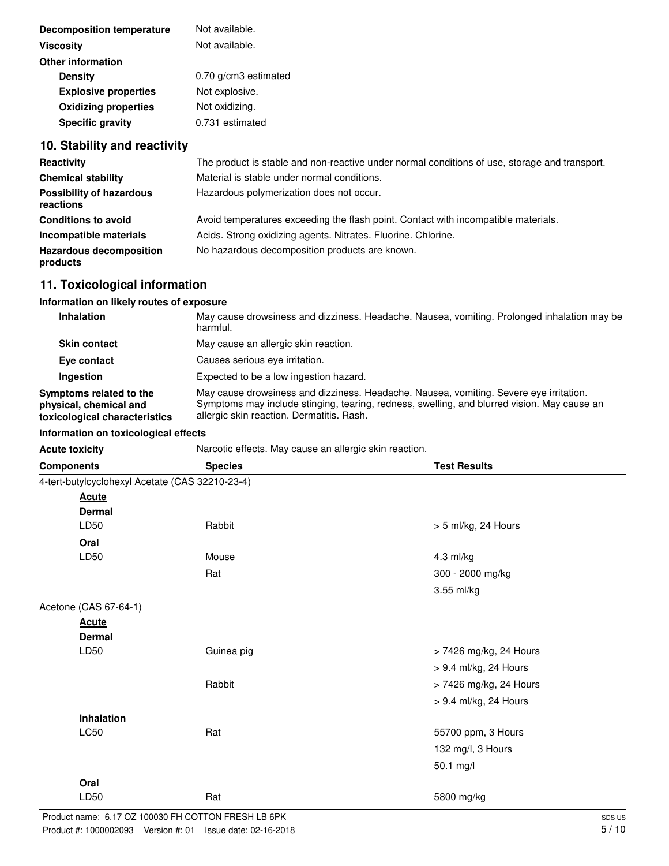| <b>Decomposition temperature</b> | Not available.       |
|----------------------------------|----------------------|
| <b>Viscosity</b>                 | Not available.       |
| <b>Other information</b>         |                      |
| <b>Density</b>                   | 0.70 g/cm3 estimated |
| <b>Explosive properties</b>      | Not explosive.       |
| <b>Oxidizing properties</b>      | Not oxidizing.       |
| <b>Specific gravity</b>          | 0.731 estimated      |

# **10. Stability and reactivity**

| Reactivity                                   | The product is stable and non-reactive under normal conditions of use, storage and transport. |
|----------------------------------------------|-----------------------------------------------------------------------------------------------|
| <b>Chemical stability</b>                    | Material is stable under normal conditions.                                                   |
| <b>Possibility of hazardous</b><br>reactions | Hazardous polymerization does not occur.                                                      |
| <b>Conditions to avoid</b>                   | Avoid temperatures exceeding the flash point. Contact with incompatible materials.            |
| Incompatible materials                       | Acids. Strong oxidizing agents. Nitrates. Fluorine. Chlorine.                                 |
| <b>Hazardous decomposition</b><br>products   | No hazardous decomposition products are known.                                                |

# **11. Toxicological information**

# **Information on likely routes of exposure**

| Inhalation                                                                         | May cause drowsiness and dizziness. Headache. Nausea, vomiting. Prolonged inhalation may be<br>harmful.                                                                                                                            |
|------------------------------------------------------------------------------------|------------------------------------------------------------------------------------------------------------------------------------------------------------------------------------------------------------------------------------|
| <b>Skin contact</b>                                                                | May cause an allergic skin reaction.                                                                                                                                                                                               |
| Eye contact                                                                        | Causes serious eve irritation.                                                                                                                                                                                                     |
| Ingestion                                                                          | Expected to be a low ingestion hazard.                                                                                                                                                                                             |
| Symptoms related to the<br>physical, chemical and<br>toxicological characteristics | May cause drowsiness and dizziness. Headache. Nausea, vomiting. Severe eye irritation.<br>Symptoms may include stinging, tearing, redness, swelling, and blurred vision. May cause an<br>allergic skin reaction. Dermatitis. Rash. |

## **Information on toxicological effects**

| Acute toxicity | Narcotic effects. May cause an allergic skin reaction. |  |
|----------------|--------------------------------------------------------|--|
|                |                                                        |  |

| <b>Components</b>                               | <b>Species</b> | <b>Test Results</b>    |
|-------------------------------------------------|----------------|------------------------|
| 4-tert-butylcyclohexyl Acetate (CAS 32210-23-4) |                |                        |
| <b>Acute</b>                                    |                |                        |
| <b>Dermal</b>                                   |                |                        |
| LD50                                            | Rabbit         | > 5 ml/kg, 24 Hours    |
| Oral                                            |                |                        |
| LD50                                            | Mouse          | 4.3 ml/kg              |
|                                                 | Rat            | 300 - 2000 mg/kg       |
|                                                 |                | 3.55 ml/kg             |
| Acetone (CAS 67-64-1)                           |                |                        |
| <b>Acute</b>                                    |                |                        |
| <b>Dermal</b>                                   |                |                        |
| LD50                                            | Guinea pig     | > 7426 mg/kg, 24 Hours |
|                                                 |                | > 9.4 ml/kg, 24 Hours  |
|                                                 | Rabbit         | > 7426 mg/kg, 24 Hours |
|                                                 |                | > 9.4 ml/kg, 24 Hours  |
| Inhalation                                      |                |                        |
| LC50                                            | Rat            | 55700 ppm, 3 Hours     |
|                                                 |                | 132 mg/l, 3 Hours      |
|                                                 |                | 50.1 mg/l              |
| Oral                                            |                |                        |
| LD50                                            | Rat            | 5800 mg/kg             |
|                                                 |                |                        |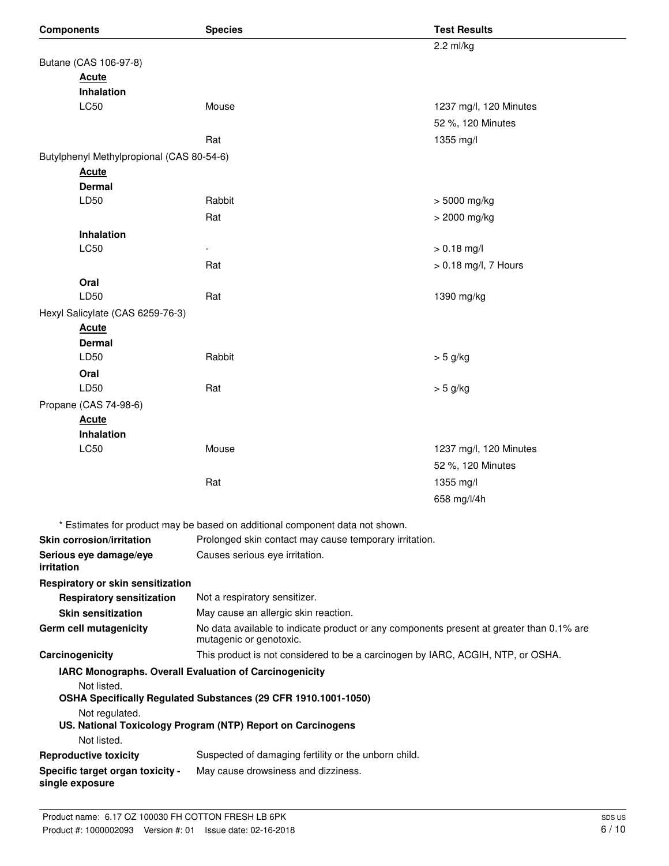| <b>Components</b>                                   | <b>Species</b>                                                                                                      | <b>Test Results</b>    |  |
|-----------------------------------------------------|---------------------------------------------------------------------------------------------------------------------|------------------------|--|
|                                                     |                                                                                                                     | 2.2 ml/kg              |  |
| Butane (CAS 106-97-8)                               |                                                                                                                     |                        |  |
| <b>Acute</b>                                        |                                                                                                                     |                        |  |
| <b>Inhalation</b>                                   |                                                                                                                     |                        |  |
| LC50                                                | Mouse                                                                                                               | 1237 mg/l, 120 Minutes |  |
|                                                     |                                                                                                                     | 52 %, 120 Minutes      |  |
|                                                     | Rat                                                                                                                 | 1355 mg/l              |  |
| Butylphenyl Methylpropional (CAS 80-54-6)           |                                                                                                                     |                        |  |
| <b>Acute</b>                                        |                                                                                                                     |                        |  |
| <b>Dermal</b>                                       |                                                                                                                     |                        |  |
| LD50                                                | Rabbit                                                                                                              | > 5000 mg/kg           |  |
|                                                     | Rat                                                                                                                 | > 2000 mg/kg           |  |
| Inhalation                                          |                                                                                                                     |                        |  |
| <b>LC50</b>                                         |                                                                                                                     | $> 0.18$ mg/l          |  |
|                                                     | Rat                                                                                                                 | > 0.18 mg/l, 7 Hours   |  |
| Oral                                                |                                                                                                                     |                        |  |
| LD50                                                | Rat                                                                                                                 | 1390 mg/kg             |  |
| Hexyl Salicylate (CAS 6259-76-3)                    |                                                                                                                     |                        |  |
| <b>Acute</b>                                        |                                                                                                                     |                        |  |
| <b>Dermal</b><br>LD50                               | Rabbit                                                                                                              | $> 5$ g/kg             |  |
| Oral                                                |                                                                                                                     |                        |  |
| LD50                                                | Rat                                                                                                                 | $> 5$ g/kg             |  |
| Propane (CAS 74-98-6)                               |                                                                                                                     |                        |  |
| <b>Acute</b>                                        |                                                                                                                     |                        |  |
| Inhalation                                          |                                                                                                                     |                        |  |
| LC50                                                | Mouse                                                                                                               | 1237 mg/l, 120 Minutes |  |
|                                                     |                                                                                                                     | 52 %, 120 Minutes      |  |
|                                                     | Rat                                                                                                                 | 1355 mg/l              |  |
|                                                     |                                                                                                                     | 658 mg/l/4h            |  |
|                                                     |                                                                                                                     |                        |  |
|                                                     | * Estimates for product may be based on additional component data not shown.                                        |                        |  |
| <b>Skin corrosion/irritation</b>                    | Prolonged skin contact may cause temporary irritation.                                                              |                        |  |
| Serious eye damage/eye<br>irritation                | Causes serious eye irritation.                                                                                      |                        |  |
| Respiratory or skin sensitization                   |                                                                                                                     |                        |  |
| <b>Respiratory sensitization</b>                    | Not a respiratory sensitizer.                                                                                       |                        |  |
| <b>Skin sensitization</b>                           | May cause an allergic skin reaction.                                                                                |                        |  |
| <b>Germ cell mutagenicity</b>                       | No data available to indicate product or any components present at greater than 0.1% are<br>mutagenic or genotoxic. |                        |  |
| Carcinogenicity                                     | This product is not considered to be a carcinogen by IARC, ACGIH, NTP, or OSHA.                                     |                        |  |
|                                                     | IARC Monographs. Overall Evaluation of Carcinogenicity                                                              |                        |  |
| Not listed.                                         | OSHA Specifically Regulated Substances (29 CFR 1910.1001-1050)                                                      |                        |  |
| Not regulated.                                      | US. National Toxicology Program (NTP) Report on Carcinogens                                                         |                        |  |
| Not listed.                                         |                                                                                                                     |                        |  |
| <b>Reproductive toxicity</b>                        | Suspected of damaging fertility or the unborn child.                                                                |                        |  |
| Specific target organ toxicity -<br>single exposure | May cause drowsiness and dizziness.                                                                                 |                        |  |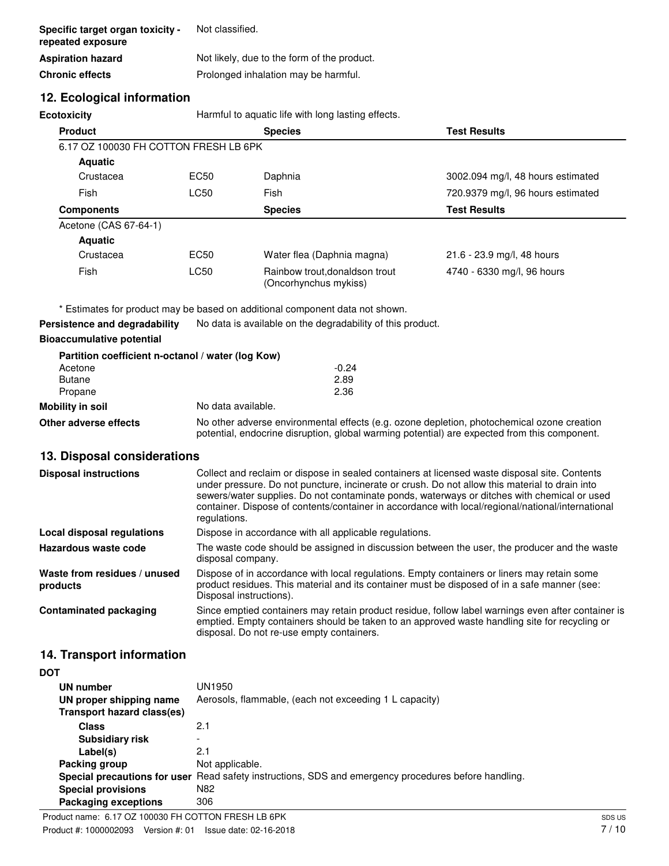| Specific target organ toxicity -<br>repeated exposure | Not classified.                             |
|-------------------------------------------------------|---------------------------------------------|
| <b>Aspiration hazard</b>                              | Not likely, due to the form of the product. |
| <b>Chronic effects</b>                                | Prolonged inhalation may be harmful.        |

## **12. Ecological information**

| Harmful to aquatic life with long lasting effects.<br><b>Ecotoxicity</b> |                  |                                                         |                                   |  |
|--------------------------------------------------------------------------|------------------|---------------------------------------------------------|-----------------------------------|--|
| <b>Product</b>                                                           |                  | <b>Species</b><br><b>Test Results</b>                   |                                   |  |
| 6.17 OZ 100030 FH COTTON FRESH LB 6PK                                    |                  |                                                         |                                   |  |
| <b>Aquatic</b>                                                           |                  |                                                         |                                   |  |
| Crustacea                                                                | EC50             | Daphnia                                                 | 3002.094 mg/l, 48 hours estimated |  |
| Fish                                                                     | LC50             | Fish                                                    | 720.9379 mg/l, 96 hours estimated |  |
| <b>Components</b>                                                        |                  | <b>Test Results</b><br><b>Species</b>                   |                                   |  |
| Acetone (CAS 67-64-1)                                                    |                  |                                                         |                                   |  |
| <b>Aquatic</b>                                                           |                  |                                                         |                                   |  |
| Crustacea                                                                | EC <sub>50</sub> | Water flea (Daphnia magna)                              | 21.6 - 23.9 mg/l, 48 hours        |  |
| Fish                                                                     | LC50             | Rainbow trout, donaldson trout<br>(Oncorhynchus mykiss) | 4740 - 6330 mg/l, 96 hours        |  |

\* Estimates for product may be based on additional component data not shown.

**Persistence and degradability** No data is available on the degradability of this product.

### **Bioaccumulative potential**

|                       | Partition coefficient n-octanol / water (log Kow)                                                                                                                                          |  |
|-----------------------|--------------------------------------------------------------------------------------------------------------------------------------------------------------------------------------------|--|
| Acetone               | $-0.24$                                                                                                                                                                                    |  |
| <b>Butane</b>         | 2.89                                                                                                                                                                                       |  |
| Propane               | 2.36                                                                                                                                                                                       |  |
| Mobility in soil      | No data available.                                                                                                                                                                         |  |
| Other adverse effects | No other adverse environmental effects (e.g. ozone depletion, photochemical ozone creation<br>potential, endocrine disruption, global warming potential) are expected from this component. |  |

## **13. Disposal considerations**

| <b>Disposal instructions</b>             | Collect and reclaim or dispose in sealed containers at licensed waste disposal site. Contents<br>under pressure. Do not puncture, incinerate or crush. Do not allow this material to drain into<br>sewers/water supplies. Do not contaminate ponds, waterways or ditches with chemical or used<br>container. Dispose of contents/container in accordance with local/regional/national/international<br>regulations. |
|------------------------------------------|---------------------------------------------------------------------------------------------------------------------------------------------------------------------------------------------------------------------------------------------------------------------------------------------------------------------------------------------------------------------------------------------------------------------|
| Local disposal regulations               | Dispose in accordance with all applicable regulations.                                                                                                                                                                                                                                                                                                                                                              |
| Hazardous waste code                     | The waste code should be assigned in discussion between the user, the producer and the waste<br>disposal company.                                                                                                                                                                                                                                                                                                   |
| Waste from residues / unused<br>products | Dispose of in accordance with local regulations. Empty containers or liners may retain some<br>product residues. This material and its container must be disposed of in a safe manner (see:<br>Disposal instructions).                                                                                                                                                                                              |
| <b>Contaminated packaging</b>            | Since emptied containers may retain product residue, follow label warnings even after container is<br>emptied. Empty containers should be taken to an approved waste handling site for recycling or<br>disposal. Do not re-use empty containers.                                                                                                                                                                    |

## **14. Transport information**

| <b>DOT</b>                 |                                                                                                      |
|----------------------------|------------------------------------------------------------------------------------------------------|
| UN number                  | UN1950                                                                                               |
| UN proper shipping name    | Aerosols, flammable, (each not exceeding 1 L capacity)                                               |
| Transport hazard class(es) |                                                                                                      |
| <b>Class</b>               | 2.1                                                                                                  |
| <b>Subsidiary risk</b>     | -                                                                                                    |
| Label(s)                   | 2.1                                                                                                  |
| Packing group              | Not applicable.                                                                                      |
|                            | Special precautions for user Read safety instructions, SDS and emergency procedures before handling. |
| <b>Special provisions</b>  | N82                                                                                                  |
| Packaging exceptions       | 306                                                                                                  |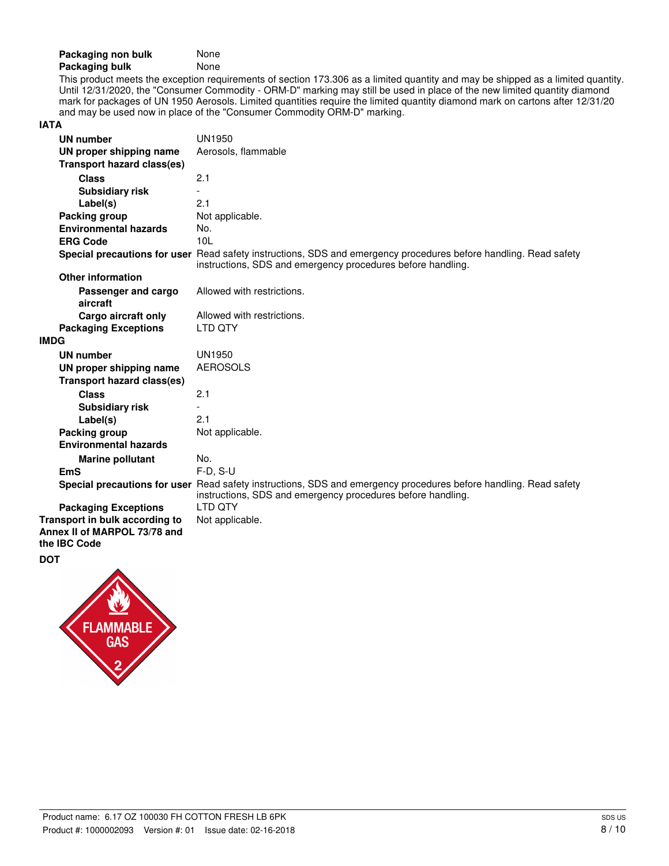| Packaging non bulk | None |
|--------------------|------|
| Packaging bulk     | None |

This product meets the exception requirements of section 173.306 as a limited quantity and may be shipped as a limited quantity. Until 12/31/2020, the "Consumer Commodity - ORM-D" marking may still be used in place of the new limited quantity diamond mark for packages of UN 1950 Aerosols. Limited quantities require the limited quantity diamond mark on cartons after 12/31/20 and may be used now in place of the "Consumer Commodity ORM-D" marking.

### **IATA**

| <b>UN number</b>                                               | UN1950                                                                                                                                                                          |
|----------------------------------------------------------------|---------------------------------------------------------------------------------------------------------------------------------------------------------------------------------|
| UN proper shipping name                                        | Aerosols, flammable                                                                                                                                                             |
| <b>Transport hazard class(es)</b>                              |                                                                                                                                                                                 |
| <b>Class</b>                                                   | 2.1                                                                                                                                                                             |
| <b>Subsidiary risk</b>                                         |                                                                                                                                                                                 |
| Label(s)                                                       | 2.1                                                                                                                                                                             |
| Packing group                                                  | Not applicable.                                                                                                                                                                 |
| <b>Environmental hazards</b>                                   | No.                                                                                                                                                                             |
| <b>ERG Code</b>                                                | 10 <sub>L</sub>                                                                                                                                                                 |
|                                                                | Special precautions for user Read safety instructions, SDS and emergency procedures before handling. Read safety<br>instructions, SDS and emergency procedures before handling. |
| <b>Other information</b>                                       |                                                                                                                                                                                 |
| Passenger and cargo<br>aircraft                                | Allowed with restrictions.                                                                                                                                                      |
| Cargo aircraft only                                            | Allowed with restrictions.                                                                                                                                                      |
| <b>Packaging Exceptions</b>                                    | LTD OTY                                                                                                                                                                         |
| <b>IMDG</b>                                                    |                                                                                                                                                                                 |
| <b>UN number</b>                                               | <b>UN1950</b>                                                                                                                                                                   |
| UN proper shipping name                                        | <b>AEROSOLS</b>                                                                                                                                                                 |
| <b>Transport hazard class(es)</b>                              |                                                                                                                                                                                 |
| <b>Class</b>                                                   | 2.1                                                                                                                                                                             |
| <b>Subsidiary risk</b>                                         |                                                                                                                                                                                 |
| Label(s)                                                       | 2.1                                                                                                                                                                             |
| Packing group                                                  | Not applicable.                                                                                                                                                                 |
| <b>Environmental hazards</b>                                   |                                                                                                                                                                                 |
| <b>Marine pollutant</b>                                        | No.                                                                                                                                                                             |
| <b>EmS</b>                                                     | $F-D, S-U$                                                                                                                                                                      |
|                                                                | Special precautions for user Read safety instructions, SDS and emergency procedures before handling. Read safety<br>instructions, SDS and emergency procedures before handling. |
| <b>Packaging Exceptions</b>                                    | I TD OTY                                                                                                                                                                        |
| Transport in bulk according to<br>Annex II of MARPOL 73/78 and | Not applicable.                                                                                                                                                                 |
| the IBC Code                                                   |                                                                                                                                                                                 |

#### **DOT**

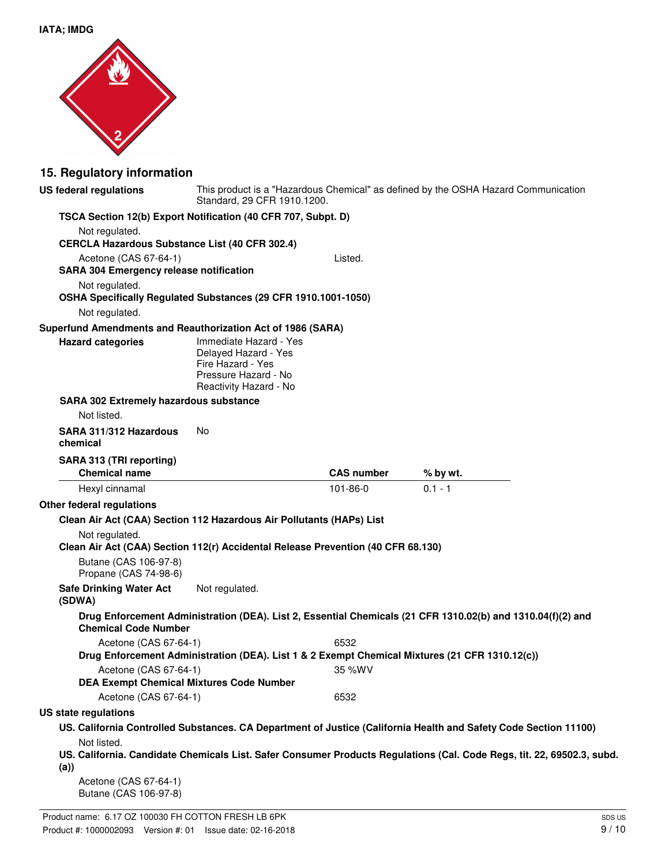

# **15. Regulatory information**

| <b>US federal regulations</b>                                    | Standard, 29 CFR 1910.1200.                                                                                           |                   | This product is a "Hazardous Chemical" as defined by the OSHA Hazard Communication                                     |
|------------------------------------------------------------------|-----------------------------------------------------------------------------------------------------------------------|-------------------|------------------------------------------------------------------------------------------------------------------------|
|                                                                  | TSCA Section 12(b) Export Notification (40 CFR 707, Subpt. D)                                                         |                   |                                                                                                                        |
| Not regulated.                                                   |                                                                                                                       |                   |                                                                                                                        |
| CERCLA Hazardous Substance List (40 CFR 302.4)                   |                                                                                                                       |                   |                                                                                                                        |
| Acetone (CAS 67-64-1)                                            |                                                                                                                       | Listed.           |                                                                                                                        |
| <b>SARA 304 Emergency release notification</b><br>Not regulated. |                                                                                                                       |                   |                                                                                                                        |
|                                                                  | OSHA Specifically Regulated Substances (29 CFR 1910.1001-1050)                                                        |                   |                                                                                                                        |
| Not regulated.                                                   |                                                                                                                       |                   |                                                                                                                        |
| Superfund Amendments and Reauthorization Act of 1986 (SARA)      |                                                                                                                       |                   |                                                                                                                        |
| <b>Hazard categories</b>                                         | Immediate Hazard - Yes<br>Delayed Hazard - Yes<br>Fire Hazard - Yes<br>Pressure Hazard - No<br>Reactivity Hazard - No |                   |                                                                                                                        |
| <b>SARA 302 Extremely hazardous substance</b>                    |                                                                                                                       |                   |                                                                                                                        |
| Not listed.                                                      |                                                                                                                       |                   |                                                                                                                        |
| SARA 311/312 Hazardous<br>chemical                               | No                                                                                                                    |                   |                                                                                                                        |
| SARA 313 (TRI reporting)                                         |                                                                                                                       |                   |                                                                                                                        |
| <b>Chemical name</b>                                             |                                                                                                                       | <b>CAS number</b> | % by wt.                                                                                                               |
| Hexyl cinnamal                                                   |                                                                                                                       | 101-86-0          | $0.1 - 1$                                                                                                              |
| Other federal regulations                                        |                                                                                                                       |                   |                                                                                                                        |
|                                                                  | Clean Air Act (CAA) Section 112 Hazardous Air Pollutants (HAPs) List                                                  |                   |                                                                                                                        |
| Not regulated.                                                   | Clean Air Act (CAA) Section 112(r) Accidental Release Prevention (40 CFR 68.130)                                      |                   |                                                                                                                        |
| Butane (CAS 106-97-8)<br>Propane (CAS 74-98-6)                   |                                                                                                                       |                   |                                                                                                                        |
| <b>Safe Drinking Water Act</b><br>(SDWA)                         | Not regulated.                                                                                                        |                   |                                                                                                                        |
| <b>Chemical Code Number</b>                                      |                                                                                                                       |                   | Drug Enforcement Administration (DEA). List 2, Essential Chemicals (21 CFR 1310.02(b) and 1310.04(f)(2) and            |
| Acetone (CAS 67-64-1)                                            |                                                                                                                       | 6532              |                                                                                                                        |
|                                                                  |                                                                                                                       |                   | Drug Enforcement Administration (DEA). List 1 & 2 Exempt Chemical Mixtures (21 CFR 1310.12(c))                         |
| Acetone (CAS 67-64-1)                                            |                                                                                                                       | 35 %WV            |                                                                                                                        |
| <b>DEA Exempt Chemical Mixtures Code Number</b>                  |                                                                                                                       |                   |                                                                                                                        |
| Acetone (CAS 67-64-1)                                            |                                                                                                                       | 6532              |                                                                                                                        |
| US state regulations                                             |                                                                                                                       |                   |                                                                                                                        |
| Not listed.                                                      |                                                                                                                       |                   | US. California Controlled Substances. CA Department of Justice (California Health and Safety Code Section 11100)       |
| (a)                                                              |                                                                                                                       |                   | US. California. Candidate Chemicals List. Safer Consumer Products Regulations (Cal. Code Regs, tit. 22, 69502.3, subd. |
| Acetone (CAS 67-64-1)<br>Butane (CAS 106-97-8)                   |                                                                                                                       |                   |                                                                                                                        |